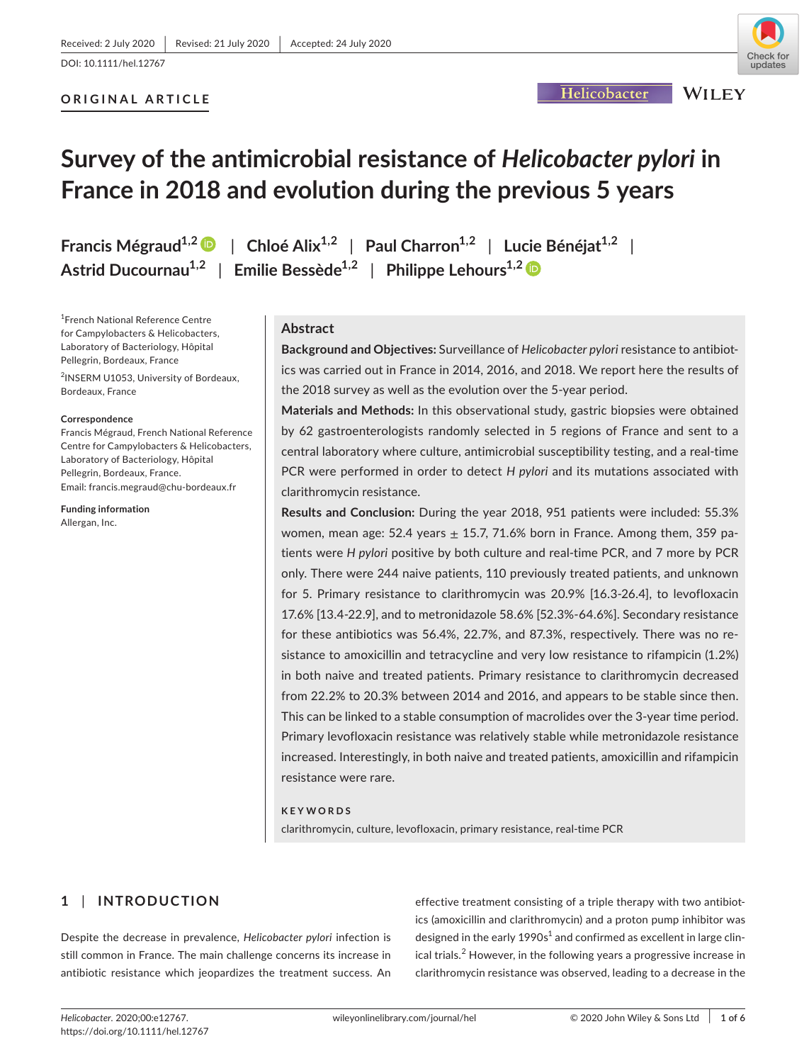**ORIGINAL ARTICLE**



undates

**WILEY** 

# **Survey of the antimicrobial resistance of** *Helicobacter pylori* **in France in 2018 and evolution during the previous 5 years**

Francis Mégraud<sup>1,2</sup> | Chloé Alix<sup>1,2</sup> | Paul Charron<sup>1,2</sup> | Lucie Bénéjat<sup>1,2</sup> | Astrid Ducournau<sup>1,2</sup> | Emilie Bessède<sup>1,2</sup> | Philippe Lehours<sup>1,2</sup>

1 French National Reference Centre for Campylobacters & Helicobacters, Laboratory of Bacteriology, Hôpital Pellegrin, Bordeaux, France 2 INSERM U1053, University of Bordeaux, Bordeaux, France

#### **Correspondence**

Francis Mégraud, French National Reference Centre for Campylobacters & Helicobacters, Laboratory of Bacteriology, Hôpital Pellegrin, Bordeaux, France. Email: [francis.megraud@chu-bordeaux.fr](mailto:francis.megraud@chu-bordeaux.fr)

**Funding information** Allergan, Inc.

# **Abstract**

**Background and Objectives:** Surveillance of *Helicobacter pylori* resistance to antibiotics was carried out in France in 2014, 2016, and 2018. We report here the results of the 2018 survey as well as the evolution over the 5-year period.

**Materials and Methods:** In this observational study, gastric biopsies were obtained by 62 gastroenterologists randomly selected in 5 regions of France and sent to a central laboratory where culture, antimicrobial susceptibility testing, and a real-time PCR were performed in order to detect *H pylori* and its mutations associated with clarithromycin resistance.

**Results and Conclusion:** During the year 2018, 951 patients were included: 55.3% women, mean age: 52.4 years  $\pm$  15.7, 71.6% born in France. Among them, 359 patients were *H pylori* positive by both culture and real-time PCR, and 7 more by PCR only. There were 244 naive patients, 110 previously treated patients, and unknown for 5. Primary resistance to clarithromycin was 20.9% [16.3-26.4], to levofloxacin 17.6% [13.4-22.9], and to metronidazole 58.6% [52.3%-64.6%]. Secondary resistance for these antibiotics was 56.4%, 22.7%, and 87.3%, respectively. There was no resistance to amoxicillin and tetracycline and very low resistance to rifampicin (1.2%) in both naive and treated patients. Primary resistance to clarithromycin decreased from 22.2% to 20.3% between 2014 and 2016, and appears to be stable since then. This can be linked to a stable consumption of macrolides over the 3-year time period. Primary levofloxacin resistance was relatively stable while metronidazole resistance increased. Interestingly, in both naive and treated patients, amoxicillin and rifampicin resistance were rare.

## **KEYWORDS**

clarithromycin, culture, levofloxacin, primary resistance, real-time PCR

# **1** | **INTRODUCTION**

Despite the decrease in prevalence, *Helicobacter pylori* infection is still common in France. The main challenge concerns its increase in antibiotic resistance which jeopardizes the treatment success. An

effective treatment consisting of a triple therapy with two antibiotics (amoxicillin and clarithromycin) and a proton pump inhibitor was designed in the early  $1990s<sup>1</sup>$  and confirmed as excellent in large clinical trials.<sup>2</sup> However, in the following years a progressive increase in clarithromycin resistance was observed, leading to a decrease in the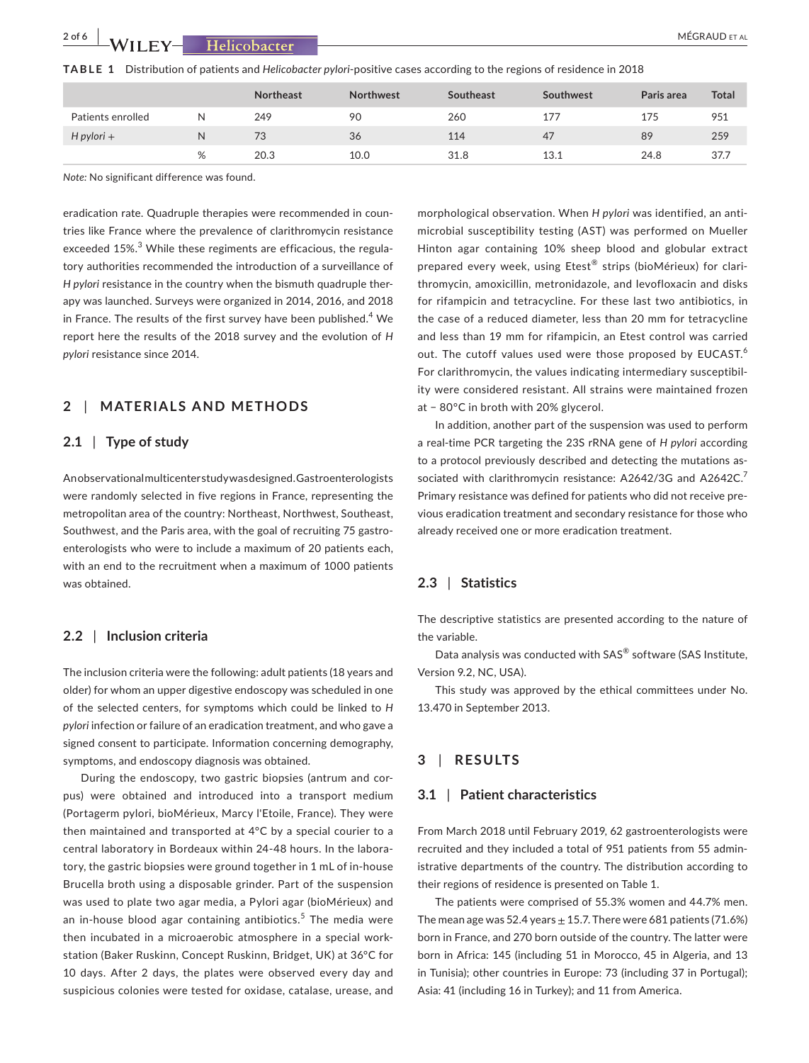**TABLE 1** Distribution of patients and *Helicobacter pylori*-positive cases according to the regions of residence in 2018

|                   |   | <b>Northeast</b> | <b>Northwest</b> | Southeast | Southwest | Paris area | <b>Total</b> |
|-------------------|---|------------------|------------------|-----------|-----------|------------|--------------|
| Patients enrolled | N | 249              | 90               | 260       | 177       | 175        | 951          |
| $H$ pylori +      |   | 73               | 36               | 114       | 47        | 89         | 259          |
|                   | % | 20.3             | 10.0             | 31.8      | 13.1      | 24.8       | 37.7         |

*Note:* No significant difference was found.

eradication rate. Quadruple therapies were recommended in countries like France where the prevalence of clarithromycin resistance exceeded 15%.<sup>3</sup> While these regiments are efficacious, the regulatory authorities recommended the introduction of a surveillance of *H pylori* resistance in the country when the bismuth quadruple therapy was launched. Surveys were organized in 2014, 2016, and 2018 in France. The results of the first survey have been published.<sup>4</sup> We report here the results of the 2018 survey and the evolution of *H pylori* resistance since 2014.

# **2** | **MATERIALS AND METHODS**

# **2.1** | **Type of study**

An observational multicenter study was designed. Gastroenterologists were randomly selected in five regions in France, representing the metropolitan area of the country: Northeast, Northwest, Southeast, Southwest, and the Paris area, with the goal of recruiting 75 gastroenterologists who were to include a maximum of 20 patients each, with an end to the recruitment when a maximum of 1000 patients was obtained.

# **2.2** | **Inclusion criteria**

The inclusion criteria were the following: adult patients (18 years and older) for whom an upper digestive endoscopy was scheduled in one of the selected centers, for symptoms which could be linked to *H pylori* infection or failure of an eradication treatment, and who gave a signed consent to participate. Information concerning demography, symptoms, and endoscopy diagnosis was obtained.

During the endoscopy, two gastric biopsies (antrum and corpus) were obtained and introduced into a transport medium (Portagerm pylori, bioMérieux, Marcy l'Etoile, France). They were then maintained and transported at 4°C by a special courier to a central laboratory in Bordeaux within 24-48 hours. In the laboratory, the gastric biopsies were ground together in 1 mL of in-house Brucella broth using a disposable grinder. Part of the suspension was used to plate two agar media, a Pylori agar (bioMérieux) and an in-house blood agar containing antibiotics.<sup>5</sup> The media were then incubated in a microaerobic atmosphere in a special workstation (Baker Ruskinn, Concept Ruskinn, Bridget, UK) at 36°C for 10 days. After 2 days, the plates were observed every day and suspicious colonies were tested for oxidase, catalase, urease, and

morphological observation. When *H pylori* was identified, an antimicrobial susceptibility testing (AST) was performed on Mueller Hinton agar containing 10% sheep blood and globular extract prepared every week, using Etest® strips (bioMérieux) for clarithromycin, amoxicillin, metronidazole, and levofloxacin and disks for rifampicin and tetracycline. For these last two antibiotics, in the case of a reduced diameter, less than 20 mm for tetracycline and less than 19 mm for rifampicin, an Etest control was carried out. The cutoff values used were those proposed by EUCAST.<sup>6</sup> For clarithromycin, the values indicating intermediary susceptibility were considered resistant. All strains were maintained frozen at − 80°C in broth with 20% glycerol.

In addition, another part of the suspension was used to perform a real-time PCR targeting the 23S rRNA gene of *H pylori* according to a protocol previously described and detecting the mutations associated with clarithromycin resistance: A2642/3G and A2642C.<sup>7</sup> Primary resistance was defined for patients who did not receive previous eradication treatment and secondary resistance for those who already received one or more eradication treatment.

# **2.3** | **Statistics**

The descriptive statistics are presented according to the nature of the variable.

Data analysis was conducted with SAS® software (SAS Institute, Version 9.2, NC, USA).

This study was approved by the ethical committees under No. 13.470 in September 2013.

# **3** | **RESULTS**

# **3.1** | **Patient characteristics**

From March 2018 until February 2019, 62 gastroenterologists were recruited and they included a total of 951 patients from 55 administrative departments of the country. The distribution according to their regions of residence is presented on Table 1.

The patients were comprised of 55.3% women and 44.7% men. The mean age was 52.4 years  $\pm$  15.7. There were 681 patients (71.6%) born in France, and 270 born outside of the country. The latter were born in Africa: 145 (including 51 in Morocco, 45 in Algeria, and 13 in Tunisia); other countries in Europe: 73 (including 37 in Portugal); Asia: 41 (including 16 in Turkey); and 11 from America.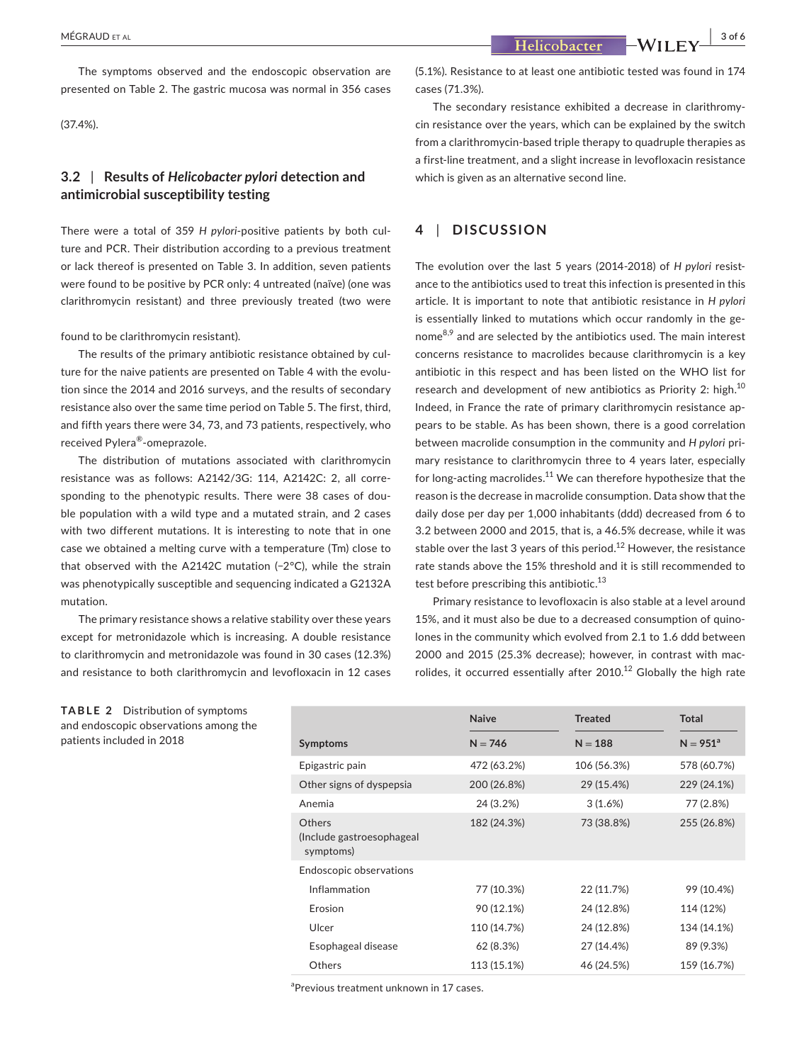The symptoms observed and the endoscopic observation are presented on Table 2. The gastric mucosa was normal in 356 cases

(37.4%).

# **3.2** | **Results of** *Helicobacter pylori* **detection and antimicrobial susceptibility testing**

There were a total of 359 *H pylori*-positive patients by both culture and PCR. Their distribution according to a previous treatment or lack thereof is presented on Table 3. In addition, seven patients were found to be positive by PCR only: 4 untreated (naïve) (one was clarithromycin resistant) and three previously treated (two were

found to be clarithromycin resistant).

The results of the primary antibiotic resistance obtained by culture for the naive patients are presented on Table 4 with the evolution since the 2014 and 2016 surveys, and the results of secondary resistance also over the same time period on Table 5. The first, third, and fifth years there were 34, 73, and 73 patients, respectively, who received Pylera®-omeprazole.

The distribution of mutations associated with clarithromycin resistance was as follows: A2142/3G: 114, A2142C: 2, all corresponding to the phenotypic results. There were 38 cases of double population with a wild type and a mutated strain, and 2 cases with two different mutations. It is interesting to note that in one case we obtained a melting curve with a temperature (Tm) close to that observed with the A2142C mutation (−2°C), while the strain was phenotypically susceptible and sequencing indicated a G2132A mutation.

The primary resistance shows a relative stability over these years except for metronidazole which is increasing. A double resistance to clarithromycin and metronidazole was found in 30 cases (12.3%) and resistance to both clarithromycin and levofloxacin in 12 cases (5.1%). Resistance to at least one antibiotic tested was found in 174 cases (71.3%).

The secondary resistance exhibited a decrease in clarithromycin resistance over the years, which can be explained by the switch from a clarithromycin-based triple therapy to quadruple therapies as a first-line treatment, and a slight increase in levofloxacin resistance which is given as an alternative second line.

# **4** | **DISCUSSION**

The evolution over the last 5 years (2014-2018) of *H pylori* resistance to the antibiotics used to treat this infection is presented in this article. It is important to note that antibiotic resistance in *H pylori* is essentially linked to mutations which occur randomly in the genome<sup>8,9</sup> and are selected by the antibiotics used. The main interest concerns resistance to macrolides because clarithromycin is a key antibiotic in this respect and has been listed on the WHO list for research and development of new antibiotics as Priority 2: high.<sup>10</sup> Indeed, in France the rate of primary clarithromycin resistance appears to be stable. As has been shown, there is a good correlation between macrolide consumption in the community and *H pylori* primary resistance to clarithromycin three to 4 years later, especially for long-acting macrolides.<sup>11</sup> We can therefore hypothesize that the reason is the decrease in macrolide consumption. Data show that the daily dose per day per 1,000 inhabitants (ddd) decreased from 6 to 3.2 between 2000 and 2015, that is, a 46.5% decrease, while it was stable over the last 3 years of this period.<sup>12</sup> However, the resistance rate stands above the 15% threshold and it is still recommended to test before prescribing this antibiotic.<sup>13</sup>

Primary resistance to levofloxacin is also stable at a level around 15%, and it must also be due to a decreased consumption of quinolones in the community which evolved from 2.1 to 1.6 ddd between 2000 and 2015 (25.3% decrease); however, in contrast with macrolides, it occurred essentially after  $2010$ .<sup>12</sup> Globally the high rate

|                                                  | <b>Naive</b> | <b>Treated</b> | <b>Total</b> |
|--------------------------------------------------|--------------|----------------|--------------|
| Symptoms                                         | $N = 746$    | $N = 188$      | $N = 951^a$  |
| Epigastric pain                                  | 472 (63.2%)  | 106 (56.3%)    | 578 (60.7%)  |
| Other signs of dyspepsia                         | 200 (26.8%)  | 29 (15.4%)     | 229 (24.1%)  |
| Anemia                                           | 24 (3.2%)    | 3(1.6%)        | 77 (2.8%)    |
| Others<br>(Include gastroesophageal<br>symptoms) | 182 (24.3%)  | 73 (38.8%)     | 255 (26.8%)  |
| Endoscopic observations                          |              |                |              |
| Inflammation                                     | 77 (10.3%)   | 22 (11.7%)     | 99 (10.4%)   |
| Erosion                                          | 90 (12.1%)   | 24 (12.8%)     | 114 (12%)    |
| Ulcer                                            | 110 (14.7%)  | 24 (12.8%)     | 134 (14.1%)  |
| Esophageal disease                               | 62 (8.3%)    | 27 (14.4%)     | 89 (9.3%)    |
| Others                                           | 113 (15.1%)  | 46 (24.5%)     | 159 (16.7%)  |

**TABLE 2** Distribution of symptoms and endoscopic observations among the patients included in 2018

a Previous treatment unknown in 17 cases.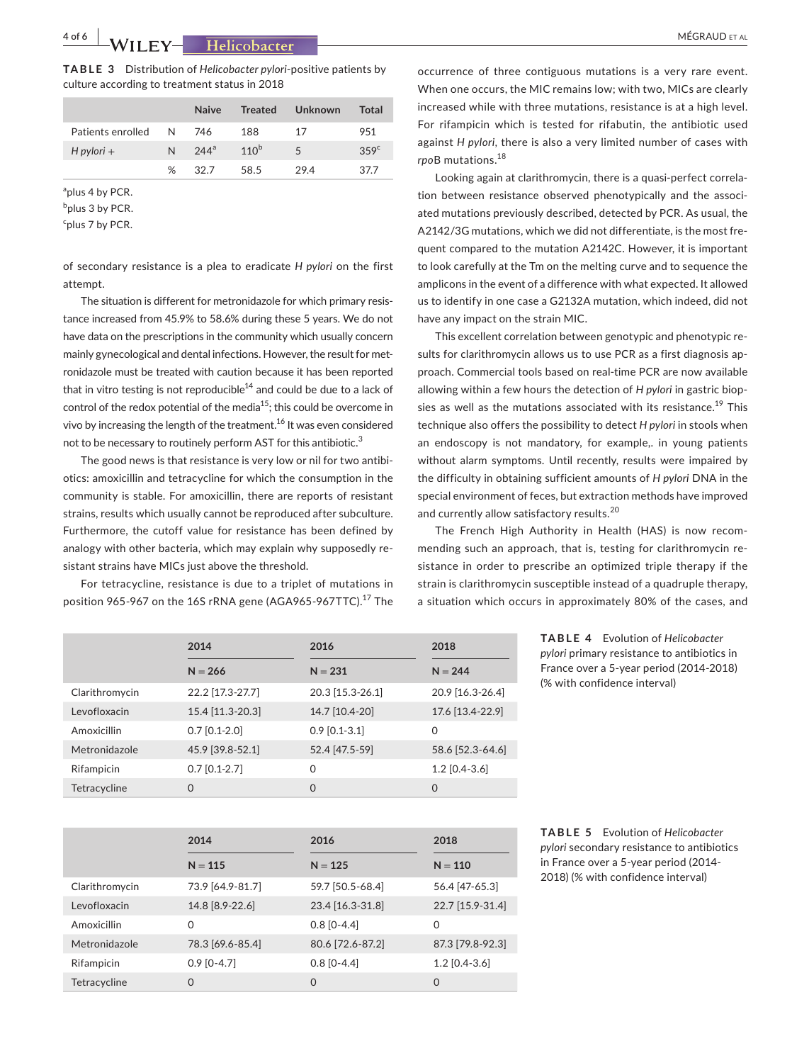**4 of 6 |** *A/II* $\Gamma$ *Y* **II Linear booton** 

**TABLE 3** Distribution of *Helicobacter pylori*-positive patients by culture according to treatment status in 2018

|                   |              | <b>Naive</b> | <b>Treated</b>   | Unknown | <b>Total</b>     |
|-------------------|--------------|--------------|------------------|---------|------------------|
| Patients enrolled | <sup>N</sup> | - 746        | 188              | 17      | 951              |
| $H$ pylori +      | N            | $244^a$      | 110 <sup>b</sup> | 5       | 359 <sup>c</sup> |
|                   | ℅            | 32.7         | 58.5             | 29.4    | 37.7             |

<sup>a</sup>plus 4 by PCR.

<sup>b</sup>plus 3 by PCR.

of secondary resistance is a plea to eradicate *H pylori* on the first attempt.

The situation is different for metronidazole for which primary resistance increased from 45.9% to 58.6% during these 5 years. We do not have data on the prescriptions in the community which usually concern mainly gynecological and dental infections. However, the result for metronidazole must be treated with caution because it has been reported that in vitro testing is not reproducible $14$  and could be due to a lack of control of the redox potential of the media<sup>15</sup>; this could be overcome in vivo by increasing the length of the treatment.<sup>16</sup> It was even considered not to be necessary to routinely perform AST for this antibiotic.<sup>3</sup>

The good news is that resistance is very low or nil for two antibiotics: amoxicillin and tetracycline for which the consumption in the community is stable. For amoxicillin, there are reports of resistant strains, results which usually cannot be reproduced after subculture. Furthermore, the cutoff value for resistance has been defined by analogy with other bacteria, which may explain why supposedly resistant strains have MICs just above the threshold.

For tetracycline, resistance is due to a triplet of mutations in position 965-967 on the 16S rRNA gene (AGA965-967TTC).<sup>17</sup> The occurrence of three contiguous mutations is a very rare event. When one occurs, the MIC remains low; with two, MICs are clearly increased while with three mutations, resistance is at a high level. For rifampicin which is tested for rifabutin, the antibiotic used against *H pylori*, there is also a very limited number of cases with *rpo*B mutations.<sup>18</sup>

Looking again at clarithromycin, there is a quasi-perfect correlation between resistance observed phenotypically and the associated mutations previously described, detected by PCR. As usual, the A2142/3G mutations, which we did not differentiate, is the most frequent compared to the mutation A2142C. However, it is important to look carefully at the Tm on the melting curve and to sequence the amplicons in the event of a difference with what expected. It allowed us to identify in one case a G2132A mutation, which indeed, did not have any impact on the strain MIC.

This excellent correlation between genotypic and phenotypic results for clarithromycin allows us to use PCR as a first diagnosis approach. Commercial tools based on real-time PCR are now available allowing within a few hours the detection of *H pylori* in gastric biopsies as well as the mutations associated with its resistance.<sup>19</sup> This technique also offers the possibility to detect *H pylori* in stools when an endoscopy is not mandatory, for example,. in young patients without alarm symptoms. Until recently, results were impaired by the difficulty in obtaining sufficient amounts of *H pylori* DNA in the special environment of feces, but extraction methods have improved and currently allow satisfactory results.<sup>20</sup>

The French High Authority in Health (HAS) is now recommending such an approach, that is, testing for clarithromycin resistance in order to prescribe an optimized triple therapy if the strain is clarithromycin susceptible instead of a quadruple therapy, a situation which occurs in approximately 80% of the cases, and

|                | 2014             | 2016             | 2018             |  |
|----------------|------------------|------------------|------------------|--|
|                | $N = 266$        | $N = 231$        | $N = 244$        |  |
| Clarithromycin | 22.2 [17.3-27.7] | 20.3 [15.3-26.1] | 20.9 [16.3-26.4] |  |
| Levofloxacin   | 15.4 [11.3-20.3] | 14.7 [10.4-20]   | 17.6 [13.4-22.9] |  |
| Amoxicillin    | $0.7$ [0.1-2.0]  | $0.9$ [0.1-3.1]  | $\Omega$         |  |
| Metronidazole  | 45.9 [39.8-52.1] | 52.4 [47.5-59]   | 58.6 [52.3-64.6] |  |
| Rifampicin     | $0.7$ [0.1-2.7]  | O                | $1.2$ [0.4-3.6]  |  |
| Tetracycline   | $\Omega$         | $\Omega$         | 0                |  |

**TABLE 4** Evolution of *Helicobacter pylori* primary resistance to antibiotics in France over a 5-year period (2014-2018) (% with confidence interval)

|                | 2014             | 2016             | 2018             |  |
|----------------|------------------|------------------|------------------|--|
|                | $N = 115$        | $N = 125$        | $N = 110$        |  |
| Clarithromycin | 73.9 [64.9-81.7] | 59.7 [50.5-68.4] | 56.4 [47-65.3]   |  |
| Levofloxacin   | 14.8 [8.9-22.6]  | 23.4 [16.3-31.8] | 22.7 [15.9-31.4] |  |
| Amoxicillin    | O                | $0.8$ [0-4.4]    | O                |  |
| Metronidazole  | 78.3 [69.6-85.4] | 80.6 [72.6-87.2] | 87.3 [79.8-92.3] |  |
| Rifampicin     | $0.9$ [0-4.7]    | $0.8$ [0-4.4]    | $1.2$ [0.4-3.6]  |  |
| Tetracycline   | 0                | $\Omega$         | 0                |  |

**TABLE 5** Evolution of *Helicobacter pylori* secondary resistance to antibiotics in France over a 5-year period (2014- 2018) (% with confidence interval)

<sup>&</sup>lt;sup>c</sup>plus 7 by PCR.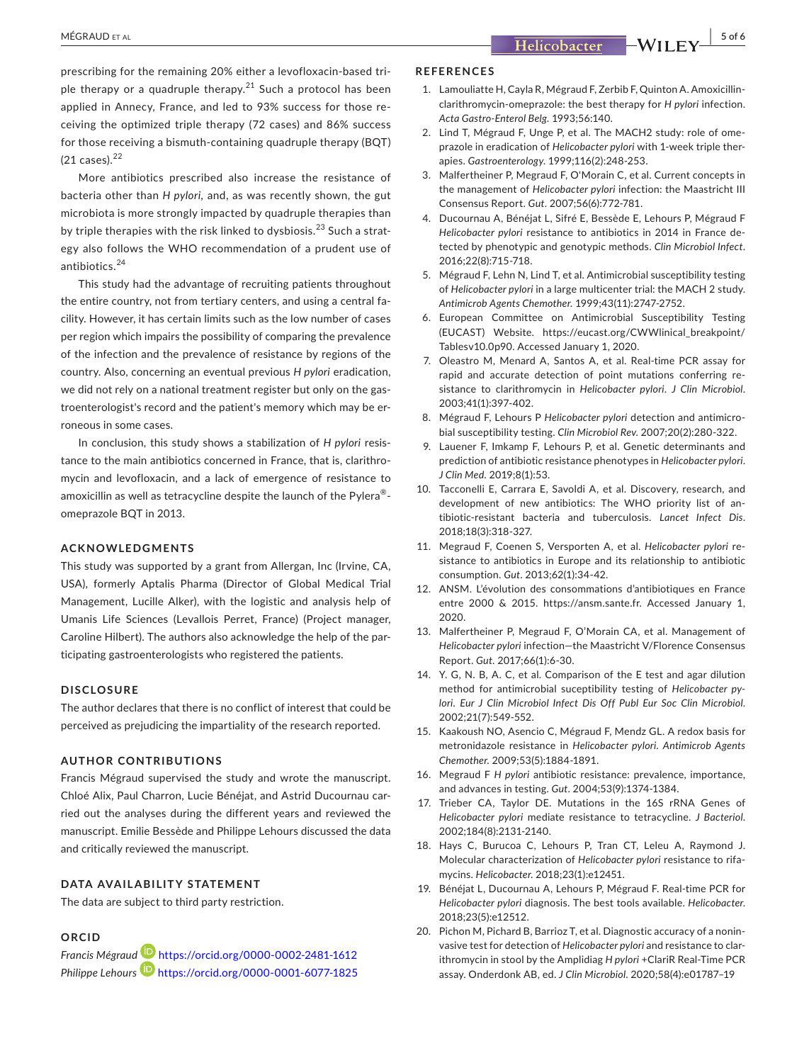prescribing for the remaining 20% either a levofloxacin-based triple therapy or a quadruple therapy.<sup>21</sup> Such a protocol has been applied in Annecy, France, and led to 93% success for those receiving the optimized triple therapy (72 cases) and 86% success for those receiving a bismuth-containing quadruple therapy (BQT)  $(21 \text{ cases})$ .  $^{22}$ 

More antibiotics prescribed also increase the resistance of bacteria other than *H pylori,* and, as was recently shown, the gut microbiota is more strongly impacted by quadruple therapies than by triple therapies with the risk linked to dysbiosis.<sup>23</sup> Such a strategy also follows the WHO recommendation of a prudent use of antibiotics.<sup>24</sup>

This study had the advantage of recruiting patients throughout the entire country, not from tertiary centers, and using a central facility. However, it has certain limits such as the low number of cases per region which impairs the possibility of comparing the prevalence of the infection and the prevalence of resistance by regions of the country. Also, concerning an eventual previous *H pylori* eradication, we did not rely on a national treatment register but only on the gastroenterologist's record and the patient's memory which may be erroneous in some cases.

In conclusion, this study shows a stabilization of *H pylori* resistance to the main antibiotics concerned in France, that is, clarithromycin and levofloxacin, and a lack of emergence of resistance to amoxicillin as well as tetracycline despite the launch of the Pylera® omeprazole BQT in 2013.

#### **ACKNOWLEDGMENTS**

This study was supported by a grant from Allergan, Inc (Irvine, CA, USA), formerly Aptalis Pharma (Director of Global Medical Trial Management, Lucille Alker), with the logistic and analysis help of Umanis Life Sciences (Levallois Perret, France) (Project manager, Caroline Hilbert). The authors also acknowledge the help of the participating gastroenterologists who registered the patients.

#### **DISCLOSURE**

The author declares that there is no conflict of interest that could be perceived as prejudicing the impartiality of the research reported.

## **AUTHOR CONTRIBUTIONS**

Francis Mégraud supervised the study and wrote the manuscript. Chloé Alix, Paul Charron, Lucie Bénéjat, and Astrid Ducournau carried out the analyses during the different years and reviewed the manuscript. Emilie Bessède and Philippe Lehours discussed the data and critically reviewed the manuscript.

# **DATA AVAILABILITY STATEMENT**

The data are subject to third party restriction.

# **ORCID**

*Francis Mégrau[d](https://orcid.org/0000-0001-6077-1825)* <https://orcid.org/0000-0002-2481-1612> *Philippe Lehours* <https://orcid.org/0000-0001-6077-1825>

#### **REFERENCES**

- 1. Lamouliatte H, Cayla R, Mégraud F, Zerbib F, Quinton A. Amoxicillinclarithromycin-omeprazole: the best therapy for *H pylori* infection. *Acta Gastro-Enterol Belg*. 1993;56:140.
- 2. Lind T, Mégraud F, Unge P, et al. The MACH2 study: role of omeprazole in eradication of *Helicobacter pylori* with 1-week triple therapies. *Gastroenterology*. 1999;116(2):248-253.
- Malfertheiner P, Megraud F, O'Morain C, et al. Current concepts in the management of *Helicobacter pylori* infection: the Maastricht III Consensus Report. *Gut*. 2007;56(6):772-781.
- 4. Ducournau A, Bénéjat L, Sifré E, Bessède E, Lehours P, Mégraud F *Helicobacter pylori* resistance to antibiotics in 2014 in France detected by phenotypic and genotypic methods. *Clin Microbiol Infect*. 2016;22(8):715-718.
- 5. Mégraud F, Lehn N, Lind T, et al. Antimicrobial susceptibility testing of *Helicobacter pylori* in a large multicenter trial: the MACH 2 study. *Antimicrob Agents Chemother*. 1999;43(11):2747-2752.
- 6. European Committee on Antimicrobial Susceptibility Testing (EUCAST) Website. [https://eucast.org/CWWlinical\\_breakpoint/](https://eucast.org/CWWlinical_breakpoint/Tablesv10.0p90) [Tablesv10.0p90](https://eucast.org/CWWlinical_breakpoint/Tablesv10.0p90). Accessed January 1, 2020.
- 7. Oleastro M, Menard A, Santos A, et al. Real-time PCR assay for rapid and accurate detection of point mutations conferring resistance to clarithromycin in *Helicobacter pylori*. *J Clin Microbiol*. 2003;41(1):397-402.
- 8. Mégraud F, Lehours P *Helicobacter pylori* detection and antimicrobial susceptibility testing. *Clin Microbiol Rev*. 2007;20(2):280-322.
- 9. Lauener F, Imkamp F, Lehours P, et al. Genetic determinants and prediction of antibiotic resistance phenotypes in *Helicobacter pylori*. *J Clin Med*. 2019;8(1):53.
- 10. Tacconelli E, Carrara E, Savoldi A, et al. Discovery, research, and development of new antibiotics: The WHO priority list of antibiotic-resistant bacteria and tuberculosis. *Lancet Infect Dis*. 2018;18(3):318-327.
- 11. Megraud F, Coenen S, Versporten A, et al. *Helicobacter pylori* resistance to antibiotics in Europe and its relationship to antibiotic consumption. *Gut*. 2013;62(1):34-42.
- 12. ANSM. L'évolution des consommations d'antibiotiques en France entre 2000 & 2015. [https://ansm.sante.fr.](https://ansm.sante.fr) Accessed January 1, 2020.
- 13. Malfertheiner P, Megraud F, O'Morain CA, et al. Management of *Helicobacter pylori* infection—the Maastricht V/Florence Consensus Report. *Gut*. 2017;66(1):6-30.
- 14. Y. G, N. B, A. C, et al. Comparison of the E test and agar dilution method for antimicrobial suceptibility testing of *Helicobacter pylori*. *Eur J Clin Microbiol Infect Dis Off Publ Eur Soc Clin Microbiol*. 2002;21(7):549-552.
- 15. Kaakoush NO, Asencio C, Mégraud F, Mendz GL. A redox basis for metronidazole resistance in *Helicobacter pylori*. *Antimicrob Agents Chemother*. 2009;53(5):1884-1891.
- 16. Megraud F *H pylori* antibiotic resistance: prevalence, importance, and advances in testing. *Gut*. 2004;53(9):1374-1384.
- 17. Trieber CA, Taylor DE. Mutations in the 16S rRNA Genes of *Helicobacter pylori* mediate resistance to tetracycline. *J Bacteriol*. 2002;184(8):2131-2140.
- 18. Hays C, Burucoa C, Lehours P, Tran CT, Leleu A, Raymond J. Molecular characterization of *Helicobacter pylori* resistance to rifamycins. *Helicobacter*. 2018;23(1):e12451.
- 19. Bénéjat L, Ducournau A, Lehours P, Mégraud F. Real-time PCR for *Helicobacter pylori* diagnosis. The best tools available. *Helicobacter*. 2018;23(5):e12512.
- 20. Pichon M, Pichard B, Barrioz T, et al. Diagnostic accuracy of a noninvasive test for detection of *Helicobacter pylori* and resistance to clarithromycin in stool by the Amplidiag *H pylori* +ClariR Real-Time PCR assay. Onderdonk AB, ed. *J Clin Microbiol*. 2020;58(4):e01787–19